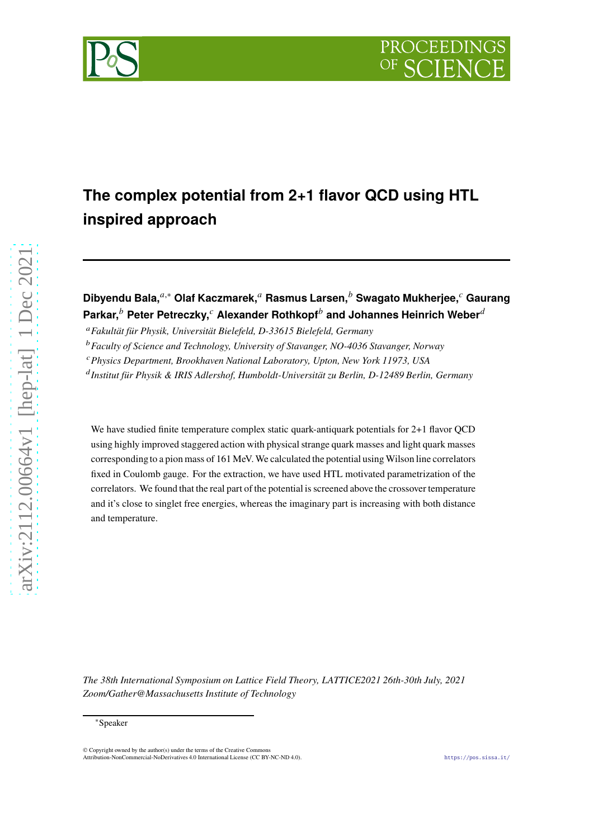



# **The complex potential from 2+1 flavor QCD using HTL inspired approach**

## **Dibyendu Bala,**𝑎,<sup>∗</sup> **Olaf Kaczmarek,**<sup>𝑎</sup> **Rasmus Larsen,**<sup>𝑏</sup> **Swagato Mukherjee,**<sup>𝑐</sup> **Gaurang Parkar,**<sup>b</sup> Peter Petreczky,<sup>c</sup> Alexander Rothkopf<sup>b</sup> and Johannes Heinrich Weber<sup>d</sup>

<sup>𝑎</sup>*Fakultät für Physik, Universität Bielefeld, D-33615 Bielefeld, Germany*

<sup>b</sup> Faculty of Science and Technology, University of Stavanger, NO-4036 Stavanger, Norway

<sup>𝑐</sup>*Physics Department, Brookhaven National Laboratory, Upton, New York 11973, USA*

<sup>d</sup> Institut für Physik & IRIS Adlershof, Humboldt-Universität zu Berlin, D-12489 Berlin, Germany

We have studied finite temperature complex static quark-antiquark potentials for 2+1 flavor QCD using highly improved staggered action with physical strange quark masses and light quark masses correspondingto a pion mass of 161 MeV. We calculated the potential using Wilson line correlators fixed in Coulomb gauge. For the extraction, we have used HTL motivated parametrization of the correlators. We found that the real part of the potential is screened above the crossover temperature and it's close to singlet free energies, whereas the imaginary part is increasing with both distance and temperature.

*The 38th International Symposium on Lattice Field Theory, LATTICE2021 26th-30th July, 2021 Zoom/Gather@Massachusetts Institute of Technology*

<sup>∗</sup>Speaker

<sup>©</sup> Copyright owned by the author(s) under the terms of the Creative Commons Attribution-NonCommercial-NoDerivatives 4.0 International License (CC BY-NC-ND 4.0). <https://pos.sissa.it/>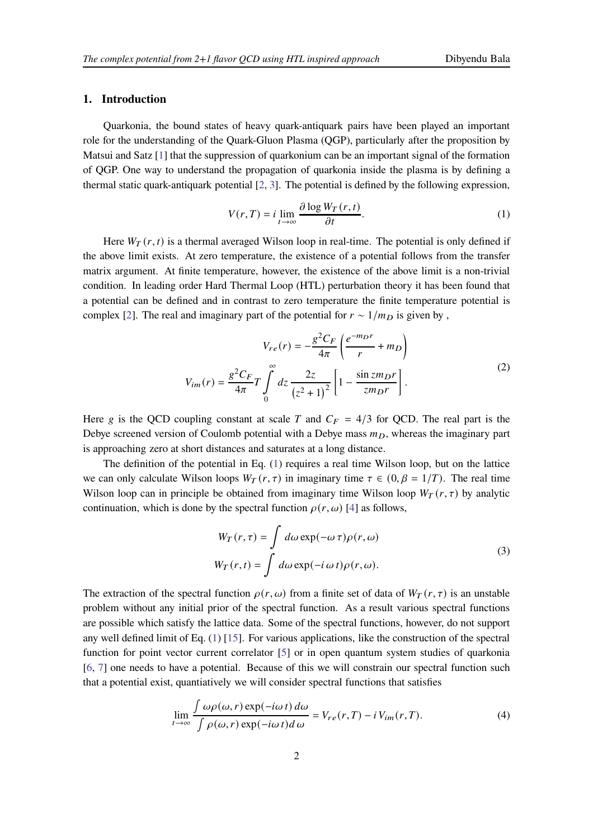## **1. Introduction**

Quarkonia, the bound states of heavy quark-antiquark pairs have been played an important role for the understanding of the Quark-Gluon Plasma (QGP), particularly after the proposition by Matsui and Satz [\[1](#page-7-0)] that the suppression of quarkonium can be an important signal of the formation of QGP. One way to understand the propagation of quarkonia inside the plasma is by defining a thermal static quark-antiquark potential [\[2](#page-7-1), [3\]](#page-7-2). The potential is defined by the following expression,

<span id="page-1-0"></span>
$$
V(r,T) = i \lim_{t \to \infty} \frac{\partial \log W_T(r,t)}{\partial t}.
$$
 (1)

Here  $W_T(r, t)$  is a thermal averaged Wilson loop in real-time. The potential is only defined if the above limit exists. At zero temperature, the existence of a potential follows from the transfer matrix argument. At finite temperature, however, the existence of the above limit is a non-trivial condition. In leading order Hard Thermal Loop (HTL) perturbation theory it has been found that a potential can be defined and in contrast to zero temperature the finite temperature potential is complex [\[2](#page-7-1)]. The real and imaginary part of the potential for  $r \sim 1/m_D$  is given by,

$$
V_{re}(r) = -\frac{g^2 C_F}{4\pi} \left( \frac{e^{-m_D r}}{r} + m_D \right)
$$
  

$$
V_{im}(r) = \frac{g^2 C_F}{4\pi} T \int_0^\infty dz \frac{2z}{(z^2 + 1)^2} \left[ 1 - \frac{\sin z m_D r}{z m_D r} \right].
$$
 (2)

<span id="page-1-1"></span>Here g is the QCD coupling constant at scale T and  $C_F = 4/3$  for QCD. The real part is the Debye screened version of Coulomb potential with a Debye mass  $m<sub>D</sub>$ , whereas the imaginary part is approaching zero at short distances and saturates at a long distance.

The definition of the potential in Eq. [\(1\)](#page-1-0) requires a real time Wilson loop, but on the lattice we can only calculate Wilson loops  $W_T(r, \tau)$  in imaginary time  $\tau \in (0, \beta = 1/T)$ . The real time Wilson loop can in principle be obtained from imaginary time Wilson loop  $W_T(r, \tau)$  by analytic continuation, which is done by the spectral function  $\rho(r, \omega)$  [\[4](#page-7-3)] as follows,

$$
W_T(r,\tau) = \int d\omega \exp(-\omega \tau) \rho(r,\omega)
$$
  
\n
$$
W_T(r,t) = \int d\omega \exp(-i \omega t) \rho(r,\omega).
$$
\n(3)

<span id="page-1-3"></span>The extraction of the spectral function  $\rho(r, \omega)$  from a finite set of data of  $W_T(r, \tau)$  is an unstable problem without any initial prior of the spectral function. As a result various spectral functions are possible which satisfy the lattice data. Some of the spectral functions, however, do not support any well defined limit of Eq. [\(1\)](#page-1-0) [\[15](#page-8-0)]. For various applications, like the construction of the spectral function for point vector current correlator [\[5\]](#page-7-4) or in open quantum system studies of quarkonia [\[6](#page-7-5), [7\]](#page-7-6) one needs to have a potential. Because of this we will constrain our spectral function such that a potential exist, quantiatively we will consider spectral functions that satisfies

<span id="page-1-2"></span>
$$
\lim_{t \to \infty} \frac{\int \omega \rho(\omega, r) \exp(-i\omega t) d\omega}{\int \rho(\omega, r) \exp(-i\omega t) d\omega} = V_{re}(r, T) - i V_{im}(r, T). \tag{4}
$$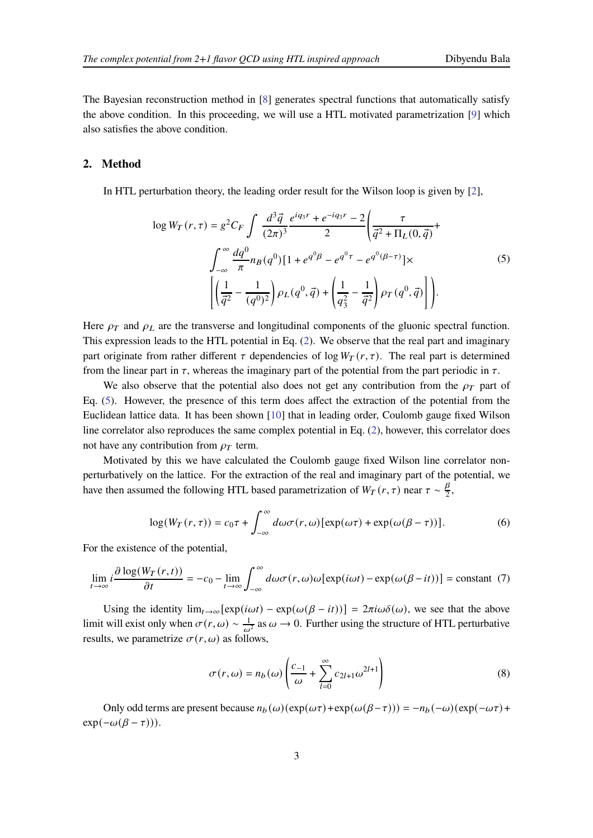The Bayesian reconstruction method in [\[8\]](#page-7-7) generates spectral functions that automatically satisfy the above condition. In this proceeding, we will use a HTL motivated parametrization [\[9](#page-7-8)] which also satisfies the above condition.

#### **2. Method**

<span id="page-2-0"></span>In HTL perturbation theory, the leading order result for the Wilson loop is given by [\[2](#page-7-1)],

$$
\log W_T(r,\tau) = g^2 C_F \int \frac{d^3 \vec{q}}{(2\pi)^3} \frac{e^{iq_3r} + e^{-iq_3r} - 2}{2} \left( \frac{\tau}{\vec{q}^2 + \Pi_L(0, \vec{q})} + \int_{-\infty}^{\infty} \frac{dq^0}{\pi} n_B(q^0) [1 + e^{q^0\beta} - e^{q^0\tau} - e^{q^0(\beta - \tau)}] \times \left[ \left( \frac{1}{\vec{q}^2} - \frac{1}{(q^0)^2} \right) \rho_L(q^0, \vec{q}) + \left( \frac{1}{q_3^2} - \frac{1}{\vec{q}^2} \right) \rho_T(q^0, \vec{q}) \right] \right).
$$
\n(5)

Here  $\rho_T$  and  $\rho_L$  are the transverse and longitudinal components of the gluonic spectral function. This expression leads to the HTL potential in Eq. [\(2\)](#page-1-1). We observe that the real part and imaginary part originate from rather different  $\tau$  dependencies of log  $W_T(r, \tau)$ . The real part is determined from the linear part in  $\tau$ , whereas the imaginary part of the potential from the part periodic in  $\tau$ .

We also observe that the potential also does not get any contribution from the  $\rho_T$  part of Eq. [\(5\)](#page-2-0). However, the presence of this term does affect the extraction of the potential from the Euclidean lattice data. It has been shown [\[10](#page-7-9)] that in leading order, Coulomb gauge fixed Wilson line correlator also reproduces the same complex potential in Eq. [\(2\)](#page-1-1), however, this correlator does not have any contribution from  $\rho_T$  term.

Motivated by this we have calculated the Coulomb gauge fixed Wilson line correlator nonperturbatively on the lattice. For the extraction of the real and imaginary part of the potential, we have then assumed the following HTL based parametrization of  $W_T(r, \tau)$  near  $\tau \sim \frac{\beta}{2}$  $\frac{p}{2}$ ,

$$
\log(W_T(r,\tau)) = c_0 \tau + \int_{-\infty}^{\infty} d\omega \sigma(r,\omega) [\exp(\omega \tau) + \exp(\omega(\beta - \tau))]. \tag{6}
$$

For the existence of the potential,

$$
\lim_{t \to \infty} i \frac{\partial \log(W_T(r, t))}{\partial t} = -c_0 - \lim_{t \to \infty} \int_{-\infty}^{\infty} d\omega \sigma(r, \omega) \omega[\exp(i\omega t) - \exp(\omega(\beta - it))] = \text{constant} \tag{7}
$$

Using the identity  $\lim_{t\to\infty} [\exp(i\omega t) - \exp(i(\omega(\beta - it))] = 2\pi i \omega \delta(\omega)$ , we see that the above limit will exist only when  $\sigma(r, \omega) \sim \frac{1}{\omega^2}$  as  $\omega \to 0$ . Further using the structure of HTL perturbative results, we parametrize  $\sigma(r, \omega)$  as follows,

$$
\sigma(r,\omega) = n_b(\omega) \left( \frac{c_{-1}}{\omega} + \sum_{l=0}^{\infty} c_{2l+1} \omega^{2l+1} \right)
$$
 (8)

Only odd terms are present because  $n_b(\omega)(\exp(\omega \tau) + \exp(\omega(\beta - \tau))) = -n_b(-\omega)(\exp(-\omega \tau) + \exp(\omega(\beta - \tau)))$  $exp(-\omega(\beta - \tau))).$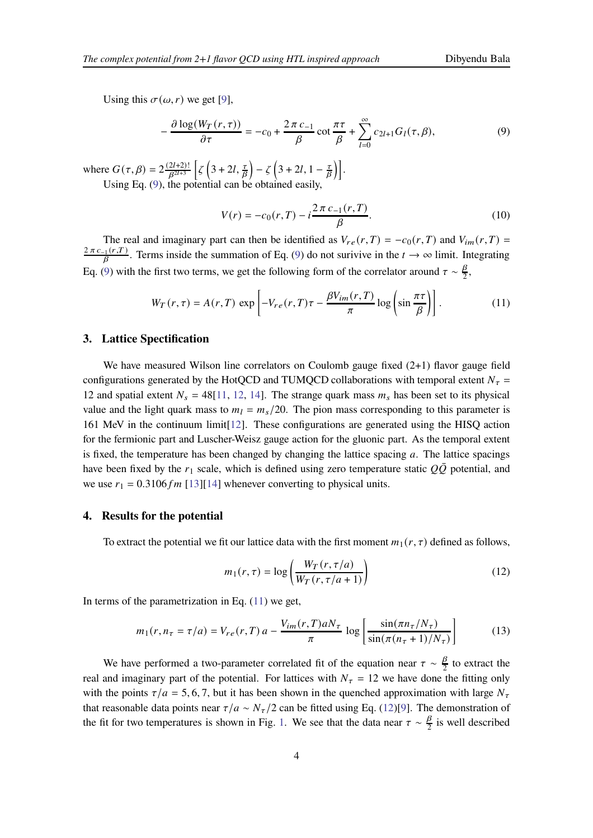Using this  $\sigma(\omega, r)$  we get [\[9\]](#page-7-8),

<span id="page-3-0"></span>
$$
-\frac{\partial \log(W_T(r,\tau))}{\partial \tau} = -c_0 + \frac{2\pi c_{-1}}{\beta} \cot \frac{\pi \tau}{\beta} + \sum_{l=0}^{\infty} c_{2l+1} G_l(\tau,\beta),\tag{9}
$$

where  $G(\tau, \beta) = 2 \frac{(2l+2)!}{\beta^{2l+3}}$  $\frac{2l+2)!}{\beta^{2l+3}}$   $\left[\zeta\left(3+2l,\frac{\tau}{\beta}\right)-\zeta\left(3+2l,1-\frac{\tau}{\beta}\right)\right]$  $\frac{\tau}{\beta}\Big)\Big|.$ Using Eq. [\(9\)](#page-3-0), the potential can be obtained easily,

$$
V(r) = -c_0(r, T) - i \frac{2\pi c_{-1}(r, T)}{\beta}.
$$
\n(10)

The real and imaginary part can then be identified as  $V_{re}(r,T) = -c_0(r,T)$  and  $V_{im}(r,T)$  $2 \pi c_{-1}(r,T)$  $\frac{f_1(r,t)}{\beta}$ . Terms inside the summation of Eq. [\(9\)](#page-3-0) do not surivive in the  $t \to \infty$  limit. Integrating Eq. [\(9\)](#page-3-0) with the first two terms, we get the following form of the correlator around  $\tau \sim \frac{\beta}{2}$  $\frac{p}{2}$ ,

<span id="page-3-1"></span>
$$
W_T(r,\tau) = A(r,T) \exp\left[-V_{re}(r,T)\tau - \frac{\beta V_{im}(r,T)}{\pi} \log\left(\sin\frac{\pi\tau}{\beta}\right)\right].
$$
 (11)

#### **3. Lattice Spectification**

We have measured Wilson line correlators on Coulomb gauge fixed  $(2+1)$  flavor gauge field configurations generated by the HotQCD and TUMQCD collaborations with temporal extent  $N_{\tau}$  = 12 and spatial extent  $N_s = 48[11, 12, 14]$  $N_s = 48[11, 12, 14]$  $N_s = 48[11, 12, 14]$  $N_s = 48[11, 12, 14]$  $N_s = 48[11, 12, 14]$  $N_s = 48[11, 12, 14]$  $N_s = 48[11, 12, 14]$ . The strange quark mass  $m_s$  has been set to its physical value and the light quark mass to  $m_l = m_s/20$ . The pion mass corresponding to this parameter is 161 MeV in the continuum limit[\[12](#page-7-11)]. These configurations are generated using the HISQ action for the fermionic part and Luscher-Weisz gauge action for the gluonic part. As the temporal extent is fixed, the temperature has been changed by changing the lattice spacing  $a$ . The lattice spacings have been fixed by the  $r_1$  scale, which is defined using zero temperature static  $Q\overline{Q}$  potential, and we use  $r_1 = 0.3106 fm$  [\[13](#page-8-2)][\[14](#page-8-1)] whenever converting to physical units.

#### **4. Results for the potential**

To extract the potential we fit our lattice data with the first moment  $m_1(r, \tau)$  defined as follows,

<span id="page-3-2"></span>
$$
m_1(r,\tau) = \log\left(\frac{W_T(r,\tau/a)}{W_T(r,\tau/a+1)}\right)
$$
\n(12)

In terms of the parametrization in Eq.  $(11)$  we get,

$$
m_1(r, n_\tau = \tau/a) = V_{re}(r, T) a - \frac{V_{im}(r, T)aN_\tau}{\pi} \log \left[ \frac{\sin(\pi n_\tau/N_\tau)}{\sin(\pi (n_\tau + 1)/N_\tau)} \right]
$$
(13)

We have performed a two-parameter correlated fit of the equation near  $\tau \sim \frac{\beta}{2}$  $\frac{p}{2}$  to extract the real and imaginary part of the potential. For lattices with  $N_{\tau} = 12$  we have done the fitting only with the points  $\tau/a = 5, 6, 7$ , but it has been shown in the quenched approximation with large  $N_{\tau}$ that reasonable data points near  $\tau/a \sim N_{\tau}/2$  can be fitted using Eq. [\(12\)](#page-3-2)[\[9\]](#page-7-8). The demonstration of the fit for two temperatures is shown in Fig. [1.](#page-4-0) We see that the data near  $\tau \sim \frac{\beta}{2}$  $\frac{p}{2}$  is well described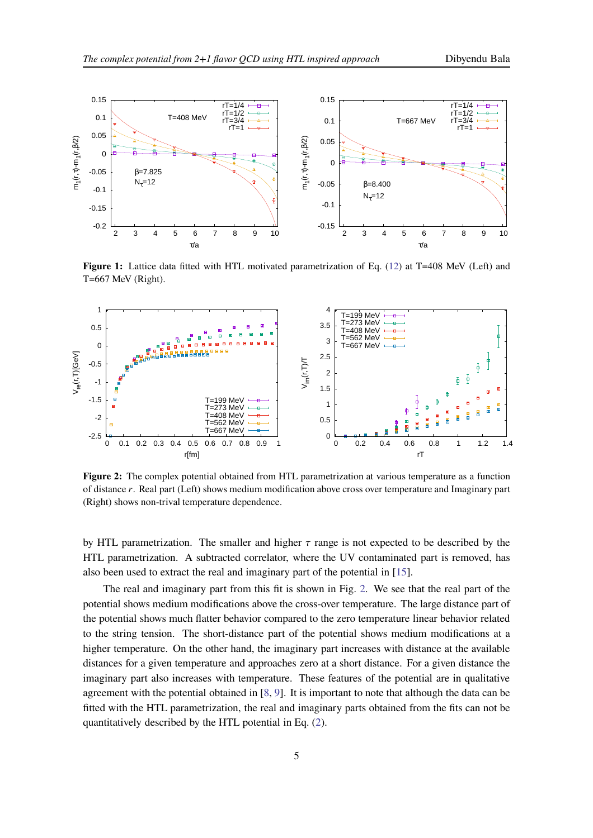<span id="page-4-0"></span>

<span id="page-4-1"></span>**Figure 1:** Lattice data fitted with HTL motivated parametrization of Eq. [\(12\)](#page-3-2) at T=408 MeV (Left) and T=667 MeV (Right).



**Figure 2:** The complex potential obtained from HTL parametrization at various temperature as a function of distance r. Real part (Left) shows medium modification above cross over temperature and Imaginary part (Right) shows non-trival temperature dependence.

by HTL parametrization. The smaller and higher  $\tau$  range is not expected to be described by the HTL parametrization. A subtracted correlator, where the UV contaminated part is removed, has also been used to extract the real and imaginary part of the potential in [\[15](#page-8-0)].

The real and imaginary part from this fit is shown in Fig. [2.](#page-4-1) We see that the real part of the potential shows medium modifications above the cross-over temperature. The large distance part of the potential shows much flatter behavior compared to the zero temperature linear behavior related to the string tension. The short-distance part of the potential shows medium modifications at a higher temperature. On the other hand, the imaginary part increases with distance at the available distances for a given temperature and approaches zero at a short distance. For a given distance the imaginary part also increases with temperature. These features of the potential are in qualitative agreement with the potential obtained in [\[8](#page-7-7), [9\]](#page-7-8). It is important to note that although the data can be fitted with the HTL parametrization, the real and imaginary parts obtained from the fits can not be quantitatively described by the HTL potential in Eq. [\(2\)](#page-1-1).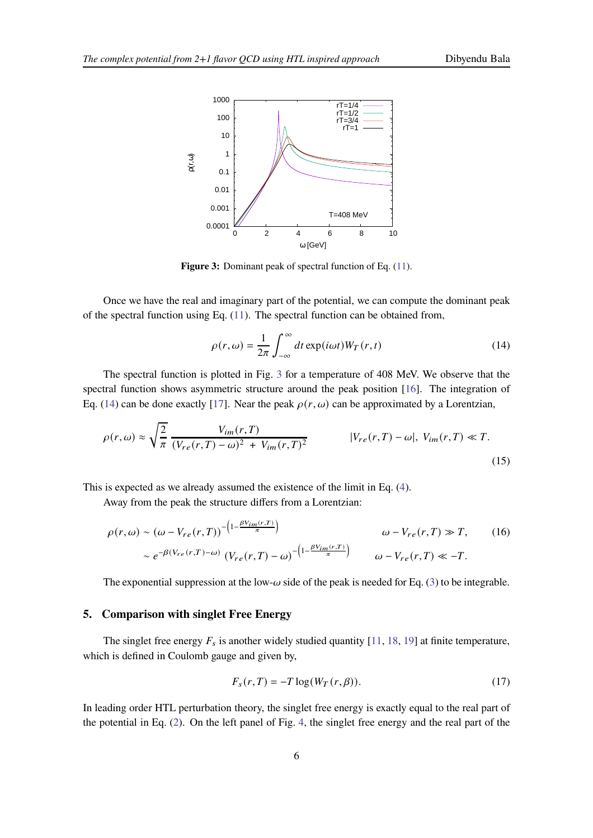<span id="page-5-0"></span>

Figure 3: Dominant peak of spectral function of Eq.  $(11)$ .

Once we have the real and imaginary part of the potential, we can compute the dominant peak of the spectral function using Eq.  $(11)$ . The spectral function can be obtained from,

<span id="page-5-1"></span>
$$
\rho(r,\omega) = \frac{1}{2\pi} \int_{-\infty}^{\infty} dt \exp(i\omega t) W_T(r,t)
$$
\n(14)

The spectral function is plotted in Fig. [3](#page-5-0) for a temperature of 408 MeV. We observe that the spectral function shows asymmetric structure around the peak position [\[16](#page-8-3)]. The integration of Eq. [\(14\)](#page-5-1) can be done exactly [\[17\]](#page-8-4). Near the peak  $\rho(r, \omega)$  can be approximated by a Lorentzian,

$$
\rho(r,\omega) \approx \sqrt{\frac{2}{\pi}} \frac{V_{im}(r,T)}{(V_{re}(r,T)-\omega)^2 + V_{im}(r,T)^2}
$$
 | $V_{re}(r,T) - \omega$ |,  $V_{im}(r,T) \ll T$ . (15)

This is expected as we already assumed the existence of the limit in Eq. [\(4\)](#page-1-2).

Away from the peak the structure differs from a Lorentzian:

$$
\rho(r,\omega) \sim (\omega - V_{re}(r,T))^{-\left(1 - \frac{\beta V_{im}(r,T)}{\pi}\right)} \qquad \omega - V_{re}(r,T) \gg T,
$$
\n
$$
\sim e^{-\beta(V_{re}(r,T) - \omega)} \left(V_{re}(r,T) - \omega\right)^{-\left(1 - \frac{\beta V_{im}(r,T)}{\pi}\right)} \qquad \omega - V_{re}(r,T) \ll -T.
$$
\n(16)

The exponential suppression at the low- $\omega$  side of the peak is needed for Eq. [\(3\)](#page-1-3) to be integrable.

## **5. Comparison with singlet Free Energy**

The singlet free energy  $F_s$  is another widely studied quantity [\[11](#page-7-10), [18](#page-8-5), [19\]](#page-8-6) at finite temperature, which is defined in Coulomb gauge and given by,

$$
F_s(r,T) = -T \log(W_T(r,\beta)).
$$
\n(17)

In leading order HTL perturbation theory, the singlet free energy is exactly equal to the real part of the potential in Eq. [\(2\)](#page-1-1). On the left panel of Fig. [4,](#page-6-0) the singlet free energy and the real part of the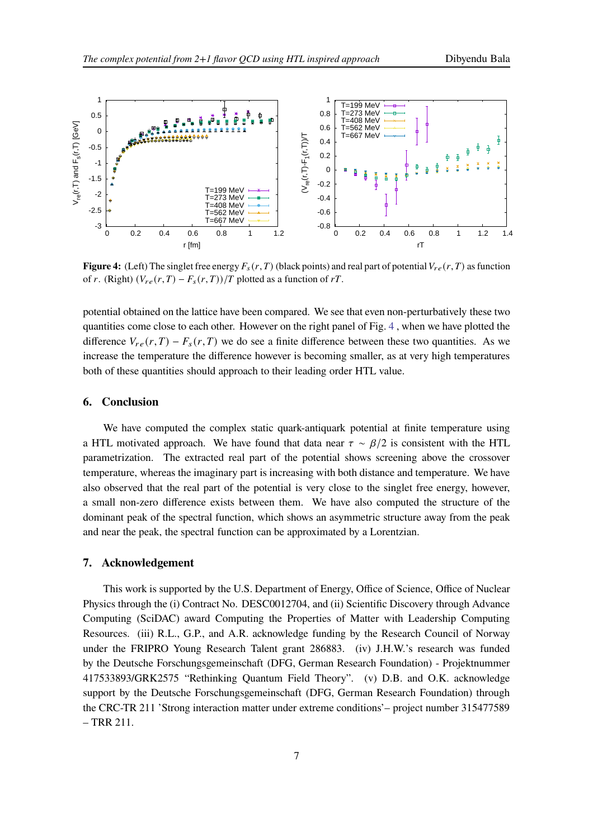<span id="page-6-0"></span>

**Figure 4:** (Left) The singlet free energy  $F_s(r,T)$  (black points) and real part of potential  $V_{re}(r,T)$  as function of r. (Right)  $(V_{re}(r,T) - F_s(r,T))/T$  plotted as a function of rT.

potential obtained on the lattice have been compared. We see that even non-perturbatively these two quantities come close to each other. However on the right panel of Fig. [4](#page-6-0) , when we have plotted the difference  $V_{re}(r, T) - F_s(r, T)$  we do see a finite difference between these two quantities. As we increase the temperature the difference however is becoming smaller, as at very high temperatures both of these quantities should approach to their leading order HTL value.

#### **6. Conclusion**

We have computed the complex static quark-antiquark potential at finite temperature using a HTL motivated approach. We have found that data near  $\tau \sim \beta/2$  is consistent with the HTL parametrization. The extracted real part of the potential shows screening above the crossover temperature, whereas the imaginary part is increasing with both distance and temperature. We have also observed that the real part of the potential is very close to the singlet free energy, however, a small non-zero difference exists between them. We have also computed the structure of the dominant peak of the spectral function, which shows an asymmetric structure away from the peak and near the peak, the spectral function can be approximated by a Lorentzian.

#### **7. Acknowledgement**

This work is supported by the U.S. Department of Energy, Office of Science, Office of Nuclear Physics through the (i) Contract No. DESC0012704, and (ii) Scientific Discovery through Advance Computing (SciDAC) award Computing the Properties of Matter with Leadership Computing Resources. (iii) R.L., G.P., and A.R. acknowledge funding by the Research Council of Norway under the FRIPRO Young Research Talent grant 286883. (iv) J.H.W.'s research was funded by the Deutsche Forschungsgemeinschaft (DFG, German Research Foundation) - Projektnummer 417533893/GRK2575 "Rethinking Quantum Field Theory". (v) D.B. and O.K. acknowledge support by the Deutsche Forschungsgemeinschaft (DFG, German Research Foundation) through the CRC-TR 211 'Strong interaction matter under extreme conditions'– project number 315477589 – TRR 211.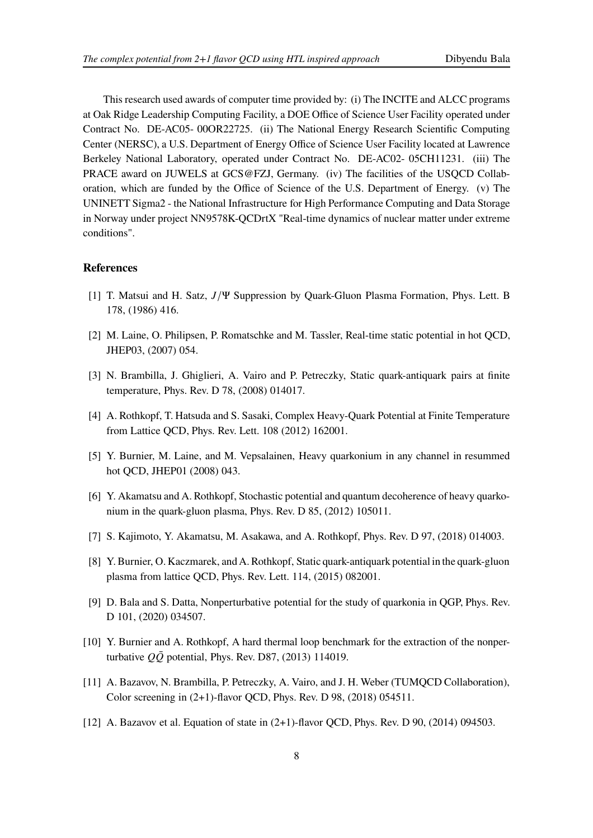This research used awards of computer time provided by: (i) The INCITE and ALCC programs at Oak Ridge Leadership Computing Facility, a DOE Office of Science User Facility operated under Contract No. DE-AC05- 00OR22725. (ii) The National Energy Research Scientific Computing Center (NERSC), a U.S. Department of Energy Office of Science User Facility located at Lawrence Berkeley National Laboratory, operated under Contract No. DE-AC02- 05CH11231. (iii) The PRACE award on JUWELS at GCS@FZJ, Germany. (iv) The facilities of the USQCD Collaboration, which are funded by the Office of Science of the U.S. Department of Energy. (v) The UNINETT Sigma2 - the National Infrastructure for High Performance Computing and Data Storage in Norway under project NN9578K-QCDrtX "Real-time dynamics of nuclear matter under extreme conditions".

## **References**

- <span id="page-7-0"></span>[1] T. Matsui and H. Satz,  $J/\Psi$  Suppression by Quark-Gluon Plasma Formation, Phys. Lett. B 178, (1986) 416.
- <span id="page-7-1"></span>[2] M. Laine, O. Philipsen, P. Romatschke and M. Tassler, Real-time static potential in hot QCD, JHEP03, (2007) 054.
- <span id="page-7-2"></span>[3] N. Brambilla, J. Ghiglieri, A. Vairo and P. Petreczky, Static quark-antiquark pairs at finite temperature, Phys. Rev. D 78, (2008) 014017.
- <span id="page-7-3"></span>[4] A. Rothkopf, T. Hatsuda and S. Sasaki, Complex Heavy-Quark Potential at Finite Temperature from Lattice QCD, Phys. Rev. Lett. 108 (2012) 162001.
- <span id="page-7-4"></span>[5] Y. Burnier, M. Laine, and M. Vepsalainen, Heavy quarkonium in any channel in resummed hot QCD, JHEP01 (2008) 043.
- <span id="page-7-5"></span>[6] Y. Akamatsu and A. Rothkopf, Stochastic potential and quantum decoherence of heavy quarkonium in the quark-gluon plasma, Phys. Rev. D 85, (2012) 105011.
- <span id="page-7-6"></span>[7] S. Kajimoto, Y. Akamatsu, M. Asakawa, and A. Rothkopf, Phys. Rev. D 97, (2018) 014003.
- <span id="page-7-7"></span>[8] Y. Burnier, O. Kaczmarek, and A. Rothkopf, Static quark-antiquark potential in the quark-gluon plasma from lattice QCD, Phys. Rev. Lett. 114, (2015) 082001.
- <span id="page-7-8"></span>[9] D. Bala and S. Datta, Nonperturbative potential for the study of quarkonia in QGP, Phys. Rev. D 101, (2020) 034507.
- <span id="page-7-9"></span>[10] Y. Burnier and A. Rothkopf, A hard thermal loop benchmark for the extraction of the nonperturbative  $Q\overline{Q}$  potential, Phys. Rev. D87, (2013) 114019.
- <span id="page-7-10"></span>[11] A. Bazavov, N. Brambilla, P. Petreczky, A. Vairo, and J. H. Weber (TUMQCD Collaboration), Color screening in (2+1)-flavor QCD, Phys. Rev. D 98, (2018) 054511.
- <span id="page-7-11"></span>[12] A. Bazavov et al. Equation of state in (2+1)-flavor QCD, Phys. Rev. D 90, (2014) 094503.